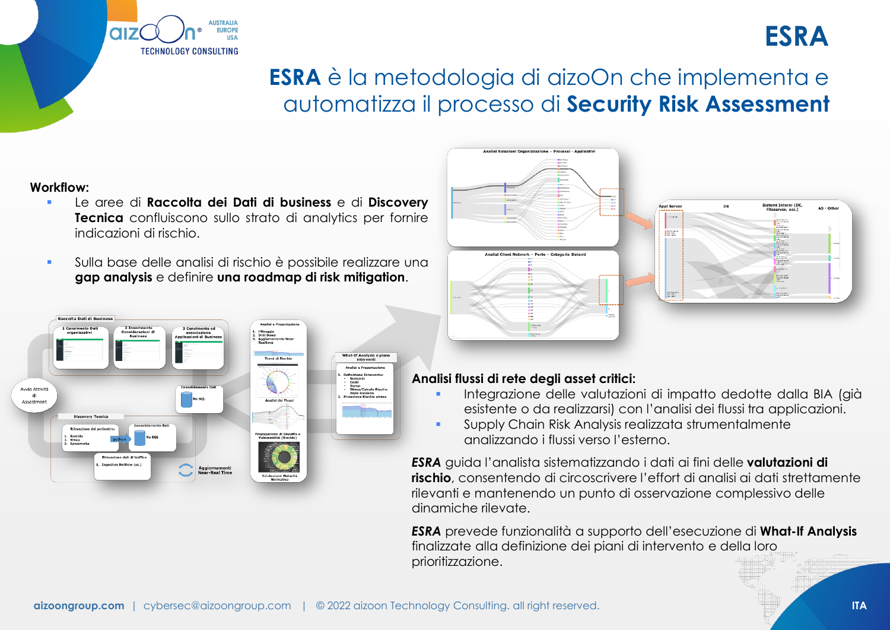# **ESRA** è la metodologia di aizoOn che implementa e automatizza il processo di **Security Risk Assessment**

### **Workflow:**

**CIIZ** 

 Le aree di **Raccolta dei Dati di business** e di **Discovery Tecnica** confluiscono sullo strato di analytics per fornire indicazioni di rischio.

**HETPAIL** 

**TECHNOLOGY CONSULTING** 

**IIDODE** 

 Sulla base delle analisi di rischio è possibile realizzare una **gap analysis** e definire **una roadmap di risk mitigation**.





## **Analisi flussi di rete degli asset critici:**

- Integrazione delle valutazioni di impatto dedotte dalla BIA (già esistente o da realizzarsi) con l'analisi dei flussi tra applicazioni.
- Supply Chain Risk Analysis realizzata strumentalmente analizzando i flussi verso l'esterno.

*ESRA* guida l'analista sistematizzando i dati ai fini delle **valutazioni di rischio**, consentendo di circoscrivere l'effort di analisi ai dati strettamente rilevanti e mantenendo un punto di osservazione complessivo delle dinamiche rilevate.

*ESRA* prevede funzionalità a supporto dell'esecuzione di **What-If Analysis**  finalizzate alla definizione dei piani di intervento e della loro prioritizzazione.

**ESRA**